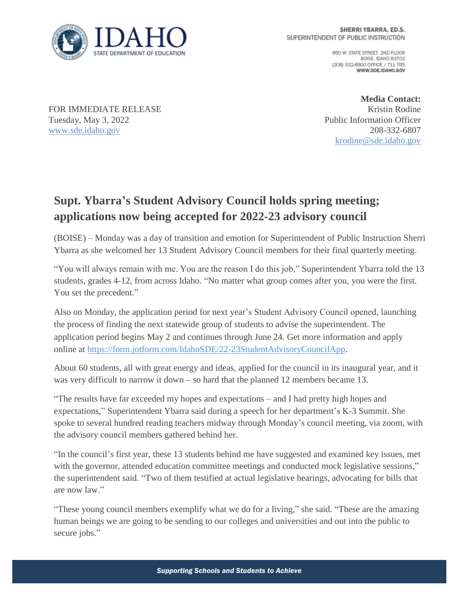

650 W. STATE STREET, 2ND FLOOR BOISE IDAHO 83702 (208) 332-6800 OFFICE / 711 TRS WWW.SDE.IDAHO.GOV

FOR IMMEDIATE RELEASE Tuesday, May 3, 2022 [www.sde.idaho.gov](http://www.sde.idaho.gov/)

**Media Contact:** Kristin Rodine Public Information Officer 208-332-6807 [krodine@sde.idaho.gov](mailto:krodine@sde.idaho.gov)

## **Supt. Ybarra's Student Advisory Council holds spring meeting; applications now being accepted for 2022-23 advisory council**

(BOISE) – Monday was a day of transition and emotion for Superintendent of Public Instruction Sherri Ybarra as she welcomed her 13 Student Advisory Council members for their final quarterly meeting.

"You will always remain with me. You are the reason I do this job," Superintendent Ybarra told the 13 students, grades 4-12, from across Idaho. "No matter what group comes after you, you were the first. You set the precedent."

Also on Monday, the application period for next year's Student Advisory Council opened, launching the process of finding the next statewide group of students to advise the superintendent. The application period begins May 2 and continues through June 24. Get more information and apply online at [https://form.jotform.com/IdahoSDE/22-23StudentAdvisoryCouncilApp.](https://form.jotform.com/IdahoSDE/22-23StudentAdvisoryCouncilApp)

About 60 students, all with great energy and ideas, applied for the council in its inaugural year, and it was very difficult to narrow it down – so hard that the planned 12 members became 13.

"The results have far exceeded my hopes and expectations – and I had pretty high hopes and expectations," Superintendent Ybarra said during a speech for her department's K-3 Summit. She spoke to several hundred reading teachers midway through Monday's council meeting, via zoom, with the advisory council members gathered behind her.

"In the council's first year, these 13 students behind me have suggested and examined key issues, met with the governor, attended education committee meetings and conducted mock legislative sessions," the superintendent said. "Two of them testified at actual legislative hearings, advocating for bills that are now law."

"These young council members exemplify what we do for a living," she said. "These are the amazing human beings we are going to be sending to our colleges and universities and out into the public to secure jobs."